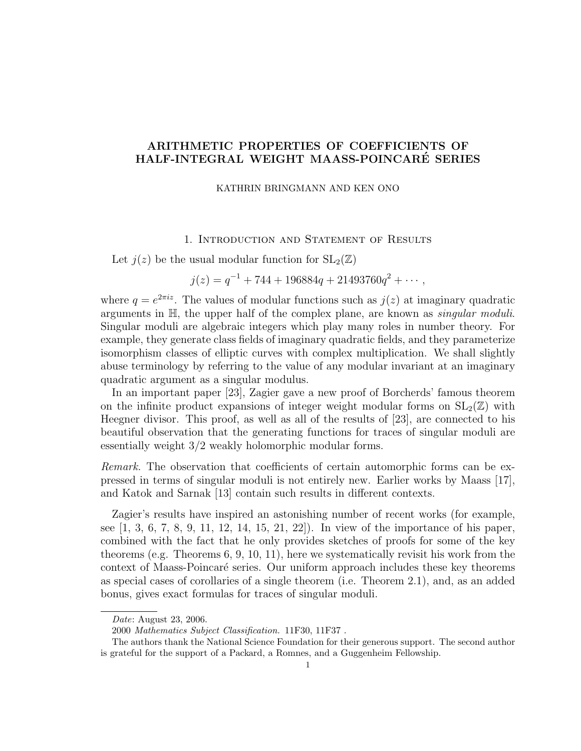# ARITHMETIC PROPERTIES OF COEFFICIENTS OF HALF-INTEGRAL WEIGHT MAASS-POINCARE SERIES ´

## KATHRIN BRINGMANN AND KEN ONO

## 1. Introduction and Statement of Results

Let  $j(z)$  be the usual modular function for  $SL_2(\mathbb{Z})$ 

 $j(z) = q^{-1} + 744 + 196884q + 21493760q^2 + \cdots,$ 

where  $q = e^{2\pi i z}$ . The values of modular functions such as  $j(z)$  at imaginary quadratic arguments in  $H$ , the upper half of the complex plane, are known as *singular moduli*. Singular moduli are algebraic integers which play many roles in number theory. For example, they generate class fields of imaginary quadratic fields, and they parameterize isomorphism classes of elliptic curves with complex multiplication. We shall slightly abuse terminology by referring to the value of any modular invariant at an imaginary quadratic argument as a singular modulus.

In an important paper [23], Zagier gave a new proof of Borcherds' famous theorem on the infinite product expansions of integer weight modular forms on  $SL_2(\mathbb{Z})$  with Heegner divisor. This proof, as well as all of the results of [23], are connected to his beautiful observation that the generating functions for traces of singular moduli are essentially weight 3/2 weakly holomorphic modular forms.

Remark. The observation that coefficients of certain automorphic forms can be expressed in terms of singular moduli is not entirely new. Earlier works by Maass [17], and Katok and Sarnak [13] contain such results in different contexts.

Zagier's results have inspired an astonishing number of recent works (for example, see [1, 3, 6, 7, 8, 9, 11, 12, 14, 15, 21, 22]). In view of the importance of his paper, combined with the fact that he only provides sketches of proofs for some of the key theorems (e.g. Theorems 6, 9, 10, 11), here we systematically revisit his work from the context of Maass-Poincaré series. Our uniform approach includes these key theorems as special cases of corollaries of a single theorem (i.e. Theorem 2.1), and, as an added bonus, gives exact formulas for traces of singular moduli.

Date: August 23, 2006.

<sup>2000</sup> Mathematics Subject Classification. 11F30, 11F37 .

The authors thank the National Science Foundation for their generous support. The second author is grateful for the support of a Packard, a Romnes, and a Guggenheim Fellowship.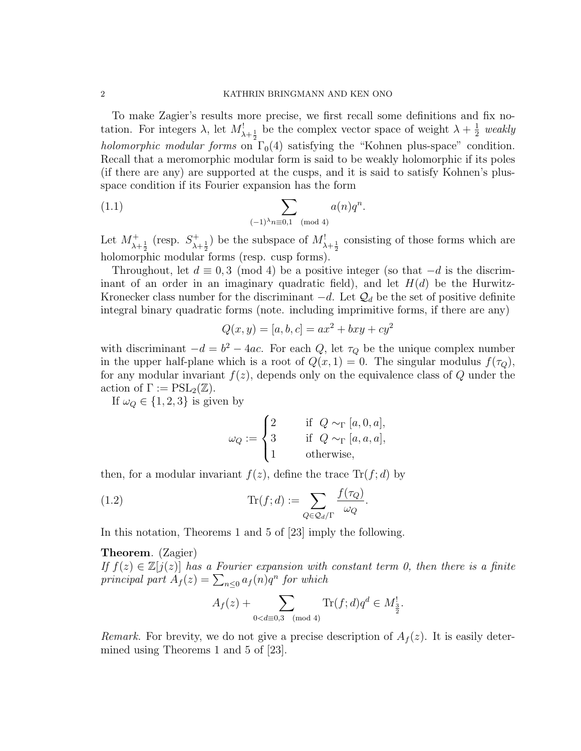To make Zagier's results more precise, we first recall some definitions and fix notation. For integers  $\lambda$ , let  $M^!_{\lambda+\frac{1}{2}}$  be the complex vector space of weight  $\lambda+\frac{1}{2}$  $rac{1}{2}$  weakly holomorphic modular forms on  $\Gamma_0(4)$  satisfying the "Kohnen plus-space" condition. Recall that a meromorphic modular form is said to be weakly holomorphic if its poles (if there are any) are supported at the cusps, and it is said to satisfy Kohnen's plusspace condition if its Fourier expansion has the form

(1.1) 
$$
\sum_{(-1)^{\lambda}n \equiv 0,1 \pmod{4}} a(n)q^{n}.
$$

Let  $M^+_{\lambda+\frac{1}{2}}$  (resp.  $S^+_{\lambda}$ .  $\lambda + \frac{1}{2}$  be the subspace of  $M^!_{\lambda + \frac{1}{2}}$  consisting of those forms which are holomorphic modular forms (resp. cusp forms).

Throughout, let  $d \equiv 0, 3 \pmod{4}$  be a positive integer (so that  $-d$  is the discriminant of an order in an imaginary quadratic field), and let  $H(d)$  be the Hurwitz-Kronecker class number for the discriminant  $-d$ . Let  $\mathcal{Q}_d$  be the set of positive definite integral binary quadratic forms (note. including imprimitive forms, if there are any)

$$
Q(x, y) = [a, b, c] = ax^2 + bxy + cy^2
$$

with discriminant  $-d = b^2 - 4ac$ . For each Q, let  $\tau_Q$  be the unique complex number in the upper half-plane which is a root of  $Q(x, 1) = 0$ . The singular modulus  $f(\tau_Q)$ , for any modular invariant  $f(z)$ , depends only on the equivalence class of Q under the action of  $\Gamma := \mathrm{PSL}_2(\mathbb{Z})$ .

If  $\omega_Q \in \{1, 2, 3\}$  is given by

$$
\omega_Q := \begin{cases} 2 & \text{if } Q \sim_\Gamma [a, 0, a], \\ 3 & \text{if } Q \sim_\Gamma [a, a, a], \\ 1 & \text{otherwise}, \end{cases}
$$

then, for a modular invariant  $f(z)$ , define the trace  $\text{Tr}(f; d)$  by

(1.2) 
$$
\operatorname{Tr}(f; d) := \sum_{Q \in \mathcal{Q}_d/\Gamma} \frac{f(\tau_Q)}{\omega_Q}.
$$

In this notation, Theorems 1 and 5 of [23] imply the following.

## Theorem. (Zagier)

If  $f(z) \in \mathbb{Z}[j(z)]$  has a Fourier expansion with constant term 0, then there is a finite principal part  $A_f(z) = \sum_{n \leq 0} a_f(n) q^n$  for which

$$
A_f(z) + \sum_{0 < d \equiv 0,3 \pmod{4}} \text{Tr}(f; d) q^d \in M_{\frac{3}{2}}^1.
$$

Remark. For brevity, we do not give a precise description of  $A_f(z)$ . It is easily determined using Theorems 1 and 5 of [23].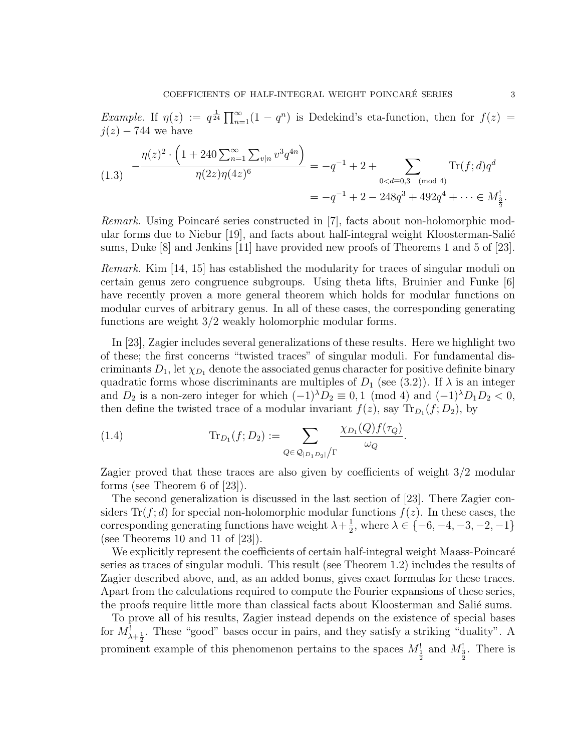Example. If  $\eta(z) := q^{\frac{1}{24}} \prod_{n=1}^{\infty} (1 - q^n)$  is Dedekind's eta-function, then for  $f(z) =$  $j(z)$  – 744 we have

$$
(1.3) \quad -\frac{\eta(z)^2 \cdot \left(1 + 240 \sum_{n=1}^{\infty} \sum_{v|n} v^3 q^{4n}\right)}{\eta(2z)\eta(4z)^6} = -q^{-1} + 2 + \sum_{0 < d \equiv 0,3 \pmod{4}} \text{Tr}(f;d)q^d
$$
\n
$$
= -q^{-1} + 2 - 248q^3 + 492q^4 + \dots \in M_{\frac{3}{2}}^1.
$$

Remark. Using Poincaré series constructed in [7], facts about non-holomorphic modular forms due to Niebur [19], and facts about half-integral weight Kloosterman-Salié sums, Duke [8] and Jenkins [11] have provided new proofs of Theorems 1 and 5 of [23].

Remark. Kim [14, 15] has established the modularity for traces of singular moduli on certain genus zero congruence subgroups. Using theta lifts, Bruinier and Funke [6] have recently proven a more general theorem which holds for modular functions on modular curves of arbitrary genus. In all of these cases, the corresponding generating functions are weight 3/2 weakly holomorphic modular forms.

In [23], Zagier includes several generalizations of these results. Here we highlight two of these; the first concerns "twisted traces" of singular moduli. For fundamental discriminants  $D_1$ , let  $\chi_{D_1}$  denote the associated genus character for positive definite binary quadratic forms whose discriminants are multiples of  $D_1$  (see (3.2)). If  $\lambda$  is an integer and  $D_2$  is a non-zero integer for which  $(-1)^{\lambda}D_2 \equiv 0, 1 \pmod{4}$  and  $(-1)^{\lambda}D_1D_2 < 0$ , then define the twisted trace of a modular invariant  $f(z)$ , say  $\text{Tr}_{D_1}(f; D_2)$ , by

(1.4) 
$$
\text{Tr}_{D_1}(f; D_2) := \sum_{Q \in \mathcal{Q}_{|D_1 D_2|}/\Gamma} \frac{\chi_{D_1}(Q) f(\tau_Q)}{\omega_Q}
$$

Zagier proved that these traces are also given by coefficients of weight 3/2 modular forms (see Theorem 6 of [23]).

.

The second generalization is discussed in the last section of [23]. There Zagier considers  $\text{Tr}(f; d)$  for special non-holomorphic modular functions  $f(z)$ . In these cases, the corresponding generating functions have weight  $\lambda + \frac{1}{2}$  $\frac{1}{2}$ , where  $\lambda \in \{-6, -4, -3, -2, -1\}$ (see Theorems 10 and 11 of [23]).

We explicitly represent the coefficients of certain half-integral weight Maass-Poincaré series as traces of singular moduli. This result (see Theorem 1.2) includes the results of Zagier described above, and, as an added bonus, gives exact formulas for these traces. Apart from the calculations required to compute the Fourier expansions of these series, the proofs require little more than classical facts about Kloosterman and Salié sums.

To prove all of his results, Zagier instead depends on the existence of special bases for  $M^!_{\lambda+\frac{1}{2}}$ . These "good" bases occur in pairs, and they satisfy a striking "duality". A prominent example of this phenomenon pertains to the spaces  $M_{\frac{1}{2}}^1$  and  $M_{\frac{3}{2}}^1$ . There is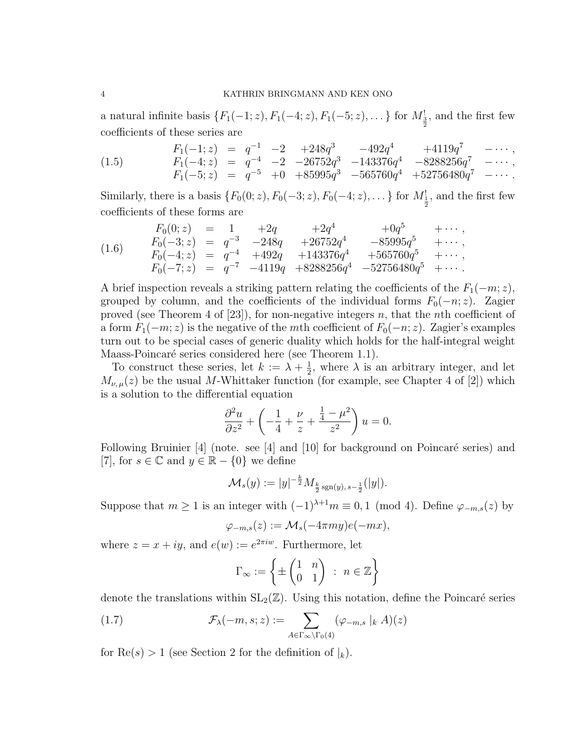a natural infinite basis  $\{F_1(-1; z), F_1(-4; z), F_1(-5; z), \dots\}$  for  $M_{\frac{3}{2}}^!$ , and the first few coefficients of these series are

(1.5) 
$$
F_1(-1; z) = q^{-1} -2 +248q^3 -492q^4 +4119q^7 -\cdots,
$$

$$
F_1(-4; z) = q^{-4} -2 -26752q^3 -143376q^4 -8288256q^7 -\cdots,
$$

$$
F_1(-5; z) = q^{-5} +0 +85995q^3 -565760q^4 +52756480q^7 -\cdots.
$$

Similarly, there is a basis  $\{F_0(0; z), F_0(-3; z), F_0(-4; z), \dots\}$  for  $M_{\frac{1}{2}}$ , and the first few coefficients of these forms are

$$
(1.6) \quad\n\begin{array}{rcl}\nF_0(0; z) & = & 1 & +2q & +2q^4 & +0q^5 & +\cdots, \\
F_0(-3; z) & = & q^{-3} & -248q & +26752q^4 & -85995q^5 & +\cdots, \\
F_0(-4; z) & = & q^{-4} & +492q & +143376q^4 & +565760q^5 & +\cdots, \\
F_0(-7; z) & = & q^{-7} & -4119q & +8288256q^4 & -52756480q^5 & +\cdots.\n\end{array}
$$

A brief inspection reveals a striking pattern relating the coefficients of the  $F_1(-m; z)$ , grouped by column, and the coefficients of the individual forms  $F_0(-n; z)$ . Zagier proved (see Theorem 4 of  $[23]$ ), for non-negative integers n, that the nth coefficient of a form  $F_1(-m; z)$  is the negative of the mth coefficient of  $F_0(-n; z)$ . Zagier's examples turn out to be special cases of generic duality which holds for the half-integral weight Maass-Poincaré series considered here (see Theorem 1.1).

To construct these series, let  $k := \lambda + \frac{1}{2}$  $\frac{1}{2}$ , where  $\lambda$  is an arbitrary integer, and let  $M_{\nu,\mu}(z)$  be the usual M-Whittaker function (for example, see Chapter 4 of [2]) which is a solution to the differential equation

$$
\frac{\partial^2 u}{\partial z^2} + \left(-\frac{1}{4} + \frac{\nu}{z} + \frac{\frac{1}{4} - \mu^2}{z^2}\right)u = 0.
$$

Following Bruinier  $[4]$  (note. see  $[4]$  and  $[10]$  for background on Poincaré series) and [7], for  $s \in \mathbb{C}$  and  $y \in \mathbb{R} - \{0\}$  we define

$$
\mathcal{M}_s(y) := |y|^{-\frac{k}{2}} M_{\frac{k}{2} \operatorname{sgn}(y), s-\frac{1}{2}}(|y|).
$$

Suppose that  $m \ge 1$  is an integer with  $(-1)^{\lambda+1}m \equiv 0, 1 \pmod{4}$ . Define  $\varphi_{-m,s}(z)$  by

$$
\varphi_{-m,s}(z) := \mathcal{M}_s(-4\pi my)e(-mx),
$$

where  $z = x + iy$ , and  $e(w) := e^{2\pi i w}$ . Furthermore, let

$$
\Gamma_{\infty} := \left\{ \pm \begin{pmatrix} 1 & n \\ 0 & 1 \end{pmatrix} \; : \; n \in \mathbb{Z} \right\}
$$

denote the translations within  $SL_2(\mathbb{Z})$ . Using this notation, define the Poincaré series

(1.7) 
$$
\mathcal{F}_{\lambda}(-m, s; z) := \sum_{A \in \Gamma_{\infty} \backslash \Gamma_{0}(4)} (\varphi_{-m, s} |_{k} A)(z)
$$

for  $\text{Re}(s) > 1$  (see Section 2 for the definition of  $|k|$ ).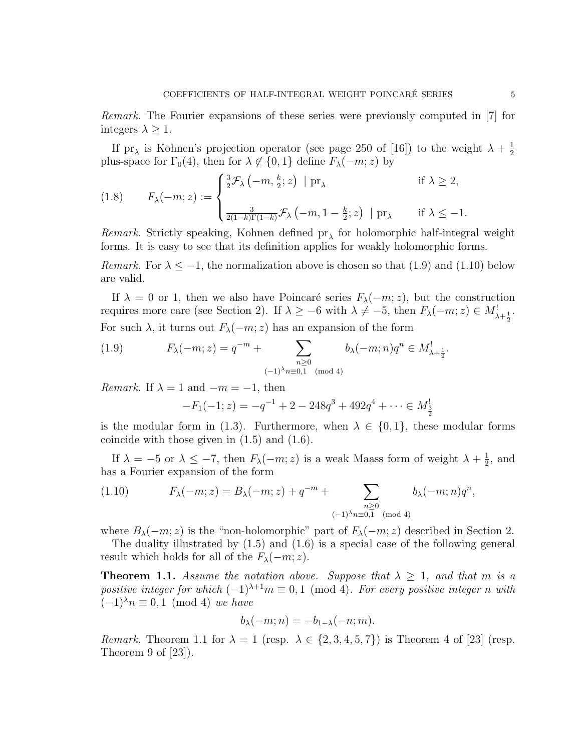If pr<sub> $\lambda$ </sub> is Kohnen's projection operator (see page 250 of [16]) to the weight  $\lambda + \frac{1}{2}$ 2 plus-space for  $\Gamma_0(4)$ , then for  $\lambda \notin \{0, 1\}$  define  $F_{\lambda}(-m; z)$  by

(1.8) 
$$
F_{\lambda}(-m; z) := \begin{cases} \frac{3}{2} \mathcal{F}_{\lambda}(-m, \frac{k}{2}; z) | \operatorname{pr}_{\lambda} & \text{if } \lambda \geq 2, \\ \frac{3}{2(1-k)\Gamma(1-k)} \mathcal{F}_{\lambda}(-m, 1 - \frac{k}{2}; z) | \operatorname{pr}_{\lambda} & \text{if } \lambda \leq -1. \end{cases}
$$

*Remark*. Strictly speaking, Kohnen defined  $pr_{\lambda}$  for holomorphic half-integral weight forms. It is easy to see that its definition applies for weakly holomorphic forms.

*Remark.* For  $\lambda \leq -1$ , the normalization above is chosen so that (1.9) and (1.10) below are valid.

If  $\lambda = 0$  or 1, then we also have Poincaré series  $F_{\lambda}(-m; z)$ , but the construction requires more care (see Section 2). If  $\lambda \geq -6$  with  $\lambda \neq -5$ , then  $F_{\lambda}(-m; z) \in M^!_{\lambda + \frac{1}{2}}$ . For such  $\lambda$ , it turns out  $F_{\lambda}(-m; z)$  has an expansion of the form

(1.9) 
$$
F_{\lambda}(-m; z) = q^{-m} + \sum_{\substack{n \geq 0 \\ (-1)^{\lambda}n \equiv 0,1 \pmod{4}}} b_{\lambda}(-m; n)q^{n} \in M_{\lambda + \frac{1}{2}}^{!}.
$$

*Remark.* If  $\lambda = 1$  and  $-m = -1$ , then

$$
-F_1(-1; z) = -q^{-1} + 2 - 248q^3 + 492q^4 + \dots \in M_{\frac{3}{2}}^1
$$

is the modular form in (1.3). Furthermore, when  $\lambda \in \{0,1\}$ , these modular forms coincide with those given in (1.5) and (1.6).

If  $\lambda = -5$  or  $\lambda \leq -7$ , then  $F_{\lambda}(-m; z)$  is a weak Maass form of weight  $\lambda + \frac{1}{2}$  $\frac{1}{2}$ , and has a Fourier expansion of the form

(1.10) 
$$
F_{\lambda}(-m; z) = B_{\lambda}(-m; z) + q^{-m} + \sum_{\substack{n \geq 0 \\ (-1)^{\lambda}n \equiv 0,1 \pmod{4}}} b_{\lambda}(-m; n) q^{n},
$$

where  $B_{\lambda}(-m; z)$  is the "non-holomorphic" part of  $F_{\lambda}(-m; z)$  described in Section 2.

The duality illustrated by (1.5) and (1.6) is a special case of the following general result which holds for all of the  $F_{\lambda}(-m; z)$ .

**Theorem 1.1.** Assume the notation above. Suppose that  $\lambda \geq 1$ , and that m is a positive integer for which  $(-1)^{\lambda+1}m \equiv 0,1 \pmod{4}$ . For every positive integer n with  $(-1)^{\lambda}n \equiv 0, 1 \pmod{4}$  we have

$$
b_{\lambda}(-m;n) = -b_{1-\lambda}(-n;m).
$$

*Remark.* Theorem 1.1 for  $\lambda = 1$  (resp.  $\lambda \in \{2, 3, 4, 5, 7\}$ ) is Theorem 4 of [23] (resp. Theorem 9 of [23]).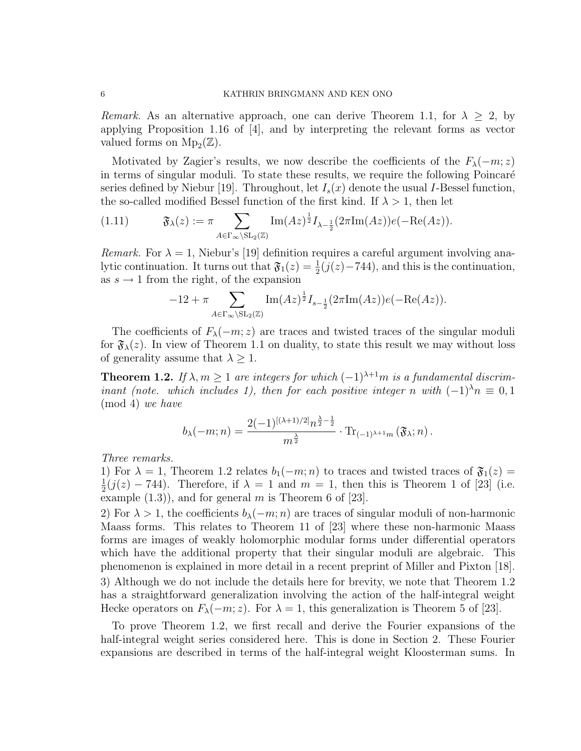Remark. As an alternative approach, one can derive Theorem 1.1, for  $\lambda \geq 2$ , by applying Proposition 1.16 of [4], and by interpreting the relevant forms as vector valued forms on  $\mathrm{Mp}_2(\mathbb{Z})$ .

Motivated by Zagier's results, we now describe the coefficients of the  $F_{\lambda}(-m; z)$ in terms of singular moduli. To state these results, we require the following Poincaré series defined by Niebur [19]. Throughout, let  $I_s(x)$  denote the usual I-Bessel function, the so-called modified Bessel function of the first kind. If  $\lambda > 1$ , then let

(1.11) 
$$
\mathfrak{F}_{\lambda}(z) := \pi \sum_{A \in \Gamma_{\infty} \backslash \mathrm{SL}_2(\mathbb{Z})} \mathrm{Im}(Az)^{\frac{1}{2}} I_{\lambda - \frac{1}{2}}(2\pi \mathrm{Im}(Az)) e(-\mathrm{Re}(Az)).
$$

*Remark.* For  $\lambda = 1$ , Niebur's [19] definition requires a careful argument involving analytic continuation. It turns out that  $\mathfrak{F}_1(z) = \frac{1}{2}(j(z) - 744)$ , and this is the continuation, as  $s \to 1$  from the right, of the expansion

$$
-12 + \pi \sum_{A \in \Gamma_{\infty} \backslash \mathrm{SL}_2(\mathbb{Z})} \mathrm{Im}(Az)^{\frac{1}{2}} I_{s-\frac{1}{2}}(2\pi \mathrm{Im}(Az)) e(-\mathrm{Re}(Az)).
$$

The coefficients of  $F_{\lambda}(-m; z)$  are traces and twisted traces of the singular moduli for  $\mathfrak{F}_{\lambda}(z)$ . In view of Theorem 1.1 on duality, to state this result we may without loss of generality assume that  $\lambda \geq 1$ .

**Theorem 1.2.** If  $\lambda, m \geq 1$  are integers for which  $(-1)^{\lambda+1}m$  is a fundamental discriminant (note. which includes 1), then for each positive integer n with  $(-1)^{\lambda}n \equiv 0,1$ (mod 4) we have

$$
b_{\lambda}(-m;n) = \frac{2(-1)^{[(\lambda+1)/2]}n^{\frac{\lambda}{2}-\frac{1}{2}}}{m^{\frac{\lambda}{2}}} \cdot \text{Tr}_{(-1)^{\lambda+1}m}(\mathfrak{F}_{\lambda};n).
$$

Three remarks.

1) For  $\lambda = 1$ , Theorem 1.2 relates  $b_1(-m; n)$  to traces and twisted traces of  $\mathfrak{F}_1(z) =$ 1  $\frac{1}{2}(j(z) - 744)$ . Therefore, if  $\lambda = 1$  and  $m = 1$ , then this is Theorem 1 of [23] (i.e. example  $(1.3)$ , and for general m is Theorem 6 of [23].

2) For  $\lambda > 1$ , the coefficients  $b_{\lambda}(-m; n)$  are traces of singular moduli of non-harmonic Maass forms. This relates to Theorem 11 of [23] where these non-harmonic Maass forms are images of weakly holomorphic modular forms under differential operators which have the additional property that their singular moduli are algebraic. This phenomenon is explained in more detail in a recent preprint of Miller and Pixton [18]. 3) Although we do not include the details here for brevity, we note that Theorem 1.2 has a straightforward generalization involving the action of the half-integral weight Hecke operators on  $F_{\lambda}(-m; z)$ . For  $\lambda = 1$ , this generalization is Theorem 5 of [23].

To prove Theorem 1.2, we first recall and derive the Fourier expansions of the half-integral weight series considered here. This is done in Section 2. These Fourier expansions are described in terms of the half-integral weight Kloosterman sums. In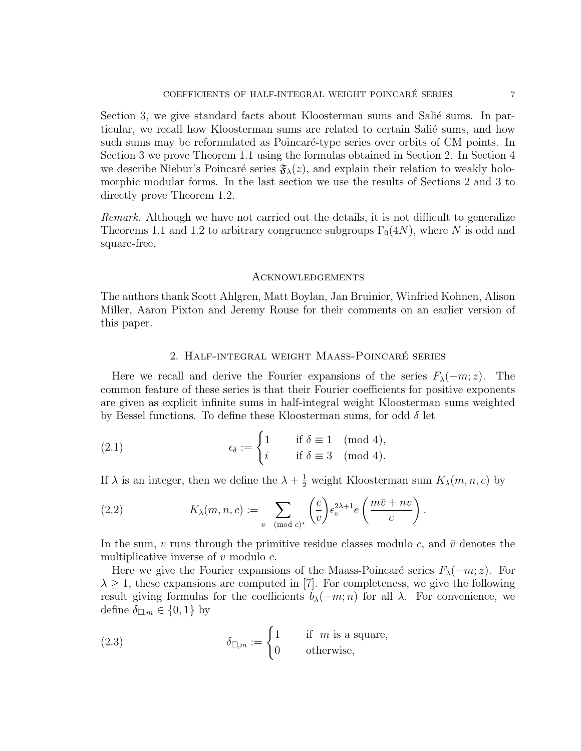Section 3, we give standard facts about Kloosterman sums and Salié sums. In particular, we recall how Kloosterman sums are related to certain Salié sums, and how such sums may be reformulated as Poincaré-type series over orbits of CM points. In Section 3 we prove Theorem 1.1 using the formulas obtained in Section 2. In Section 4 we describe Niebur's Poincaré series  $\mathfrak{F}_{\lambda}(z)$ , and explain their relation to weakly holomorphic modular forms. In the last section we use the results of Sections 2 and 3 to directly prove Theorem 1.2.

Remark. Although we have not carried out the details, it is not difficult to generalize Theorems 1.1 and 1.2 to arbitrary congruence subgroups  $\Gamma_0(4N)$ , where N is odd and square-free.

## Acknowledgements

The authors thank Scott Ahlgren, Matt Boylan, Jan Bruinier, Winfried Kohnen, Alison Miller, Aaron Pixton and Jeremy Rouse for their comments on an earlier version of this paper.

### 2. Half-integral weight Maass-Poincare series ´

Here we recall and derive the Fourier expansions of the series  $F_{\lambda}(-m; z)$ . The common feature of these series is that their Fourier coefficients for positive exponents are given as explicit infinite sums in half-integral weight Kloosterman sums weighted by Bessel functions. To define these Kloosterman sums, for odd  $\delta$  let

(2.1) 
$$
\epsilon_{\delta} := \begin{cases} 1 & \text{if } \delta \equiv 1 \pmod{4}, \\ i & \text{if } \delta \equiv 3 \pmod{4}. \end{cases}
$$

If  $\lambda$  is an integer, then we define the  $\lambda + \frac{1}{2}$  weight Kloosterman sum  $K_{\lambda}(m, n, c)$  by

(2.2) 
$$
K_{\lambda}(m, n, c) := \sum_{v \pmod{c}} \left(\frac{c}{v}\right) \epsilon_v^{2\lambda + 1} e\left(\frac{m\bar{v} + nv}{c}\right).
$$

In the sum, v runs through the primitive residue classes modulo c, and  $\bar{v}$  denotes the multiplicative inverse of  $v$  modulo  $c$ .

Here we give the Fourier expansions of the Maass-Poincaré series  $F_{\lambda}(-m; z)$ . For  $\lambda \geq 1$ , these expansions are computed in [7]. For completeness, we give the following result giving formulas for the coefficients  $b_{\lambda}(-m; n)$  for all  $\lambda$ . For convenience, we define  $\delta_{\square,m} \in \{0,1\}$  by

(2.3) 
$$
\delta_{\square,m} := \begin{cases} 1 & \text{if } m \text{ is a square,} \\ 0 & \text{otherwise,} \end{cases}
$$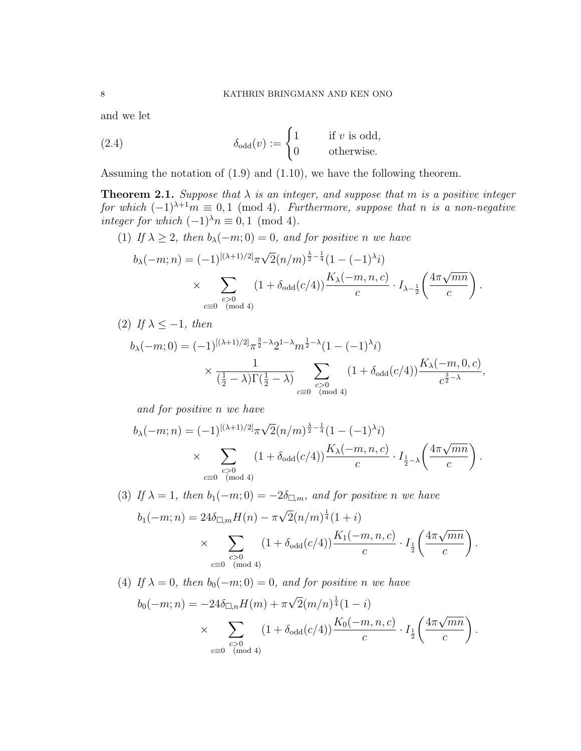and we let

(2.4) 
$$
\delta_{\text{odd}}(v) := \begin{cases} 1 & \text{if } v \text{ is odd,} \\ 0 & \text{otherwise.} \end{cases}
$$

Assuming the notation of (1.9) and (1.10), we have the following theorem.

**Theorem 2.1.** Suppose that  $\lambda$  is an integer, and suppose that m is a positive integer for which  $(-1)^{\lambda+1}m \equiv 0,1 \pmod{4}$ . Furthermore, suppose that n is a non-negative integer for which  $(-1)^{\lambda}n \equiv 0, 1 \pmod{4}$ .

(1) If  $\lambda \geq 2$ , then  $b_{\lambda}(-m;0) = 0$ , and for positive n we have

$$
b_{\lambda}(-m;n) = (-1)^{[(\lambda+1)/2]} \pi \sqrt{2} (n/m)^{\frac{\lambda}{2}-\frac{1}{4}} (1 - (-1)^{\lambda} i)
$$
  
 
$$
\times \sum_{\substack{c>0 \ (mod \ 4)}} (1 + \delta_{\text{odd}}(c/4)) \frac{K_{\lambda}(-m,n,c)}{c} \cdot I_{\lambda-\frac{1}{2}} \left( \frac{4\pi \sqrt{mn}}{c} \right).
$$

(2) If 
$$
\lambda \leq -1
$$
, then

$$
b_{\lambda}(-m;0) = (-1)^{[(\lambda+1)/2]} \pi^{\frac{3}{2}-\lambda} 2^{1-\lambda} m^{\frac{1}{2}-\lambda} (1 - (-1)^{\lambda} i)
$$

$$
\times \frac{1}{(\frac{1}{2}-\lambda)\Gamma(\frac{1}{2}-\lambda)} \sum_{\substack{c>0\\c \equiv 0 \pmod{4}}} (1 + \delta_{\text{odd}}(c/4)) \frac{K_{\lambda}(-m,0,c)}{c^{\frac{3}{2}-\lambda}},
$$

and for positive n we have

$$
b_{\lambda}(-m;n) = (-1)^{[(\lambda+1)/2]} \pi \sqrt{2} (n/m)^{\frac{\lambda}{2} - \frac{1}{4}} (1 - (-1)^{\lambda} i)
$$
  
 
$$
\times \sum_{\substack{c>0 \\ c \equiv 0 \pmod{4}}} (1 + \delta_{\text{odd}}(c/4)) \frac{K_{\lambda}(-m,n,c)}{c} \cdot I_{\frac{1}{2} - \lambda} \left( \frac{4\pi \sqrt{mn}}{c} \right).
$$

(3) If  $\lambda = 1$ , then  $b_1(-m; 0) = -2\delta_{\square,m}$ , and for positive n we have

$$
b_1(-m; n) = 24\delta_{\square,m}H(n) - \pi\sqrt{2}(n/m)^{\frac{1}{4}}(1+i)
$$
  
 
$$
\times \sum_{\substack{c>0 \ (mod\ 4)}} (1 + \delta_{\text{odd}}(c/4)) \frac{K_1(-m, n, c)}{c} \cdot I_{\frac{1}{2}}\left(\frac{4\pi\sqrt{mn}}{c}\right)
$$

.

.

(4) If  $\lambda = 0$ , then  $b_0(-m; 0) = 0$ , and for positive n we have

$$
b_0(-m;n) = -24\delta_{\square,n}H(m) + \pi\sqrt{2}(m/n)^{\frac{1}{4}}(1-i)
$$
  
 
$$
\times \sum_{\substack{c>0\\c \equiv 0 \pmod{4}}} (1 + \delta_{\text{odd}}(c/4)) \frac{K_0(-m,n,c)}{c} \cdot I_{\frac{1}{2}}\left(\frac{4\pi\sqrt{mn}}{c}\right)
$$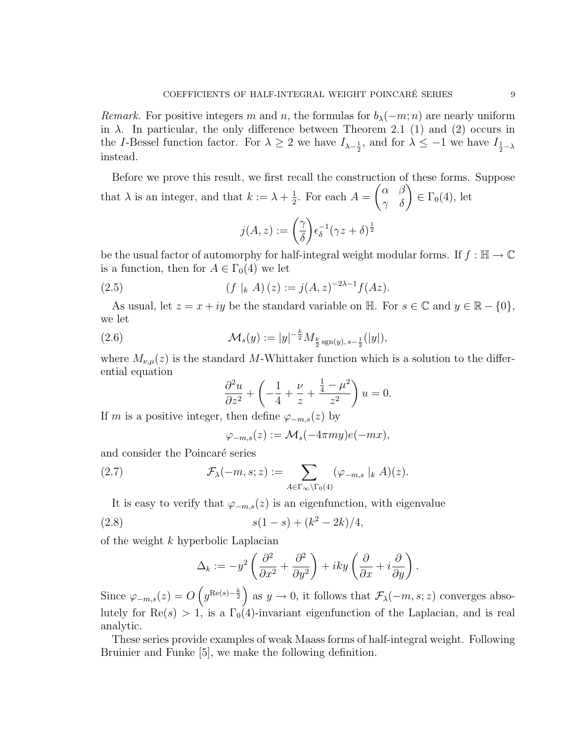*Remark.* For positive integers m and n, the formulas for  $b_{\lambda}(-m; n)$  are nearly uniform in  $\lambda$ . In particular, the only difference between Theorem 2.1 (1) and (2) occurs in the *I*-Bessel function factor. For  $\lambda \geq 2$  we have  $I_{\lambda-\frac{1}{2}}$ , and for  $\lambda \leq -1$  we have  $I_{\frac{1}{2}-\lambda}$ instead.

Before we prove this result, we first recall the construction of these forms. Suppose that  $\lambda$  is an integer, and that  $k := \lambda + \frac{1}{2}$  $\frac{1}{2}$ . For each  $A =$  $\begin{pmatrix} \alpha & \beta \\ \gamma & \delta \end{pmatrix} \in \Gamma_0(4)$ , let

$$
j(A,z):=\binom{\gamma}{\delta}\epsilon_{\delta}^{-1}(\gamma z+\delta)^{\frac{1}{2}}
$$

be the usual factor of automorphy for half-integral weight modular forms. If  $f : \mathbb{H} \to \mathbb{C}$ is a function, then for  $A \in \Gamma_0(4)$  we let

(2.5) 
$$
(f |_{k} A)(z) := j(A, z)^{-2\lambda - 1} f(Az).
$$

As usual, let  $z = x + iy$  be the standard variable on  $\mathbb{H}$ . For  $s \in \mathbb{C}$  and  $y \in \mathbb{R} - \{0\},$ we let

(2.6) 
$$
\mathcal{M}_s(y) := |y|^{-\frac{k}{2}} M_{\frac{k}{2} \operatorname{sgn}(y), s-\frac{1}{2}}(|y|),
$$

where  $M_{\nu,\mu}(z)$  is the standard M-Whittaker function which is a solution to the differential equation

$$
\frac{\partial^2 u}{\partial z^2} + \left( -\frac{1}{4} + \frac{\nu}{z} + \frac{\frac{1}{4} - \mu^2}{z^2} \right) u = 0.
$$

If m is a positive integer, then define  $\varphi_{-m,s}(z)$  by

$$
\varphi_{-m,s}(z) := \mathcal{M}_s(-4\pi my)e(-mx),
$$

and consider the Poincaré series

(2.7) 
$$
\mathcal{F}_{\lambda}(-m, s; z) := \sum_{A \in \Gamma_{\infty} \backslash \Gamma_0(4)} (\varphi_{-m, s} |_{k} A)(z).
$$

It is easy to verify that  $\varphi_{-m,s}(z)$  is an eigenfunction, with eigenvalue

(2.8) 
$$
s(1-s) + (k^2 - 2k)/4,
$$

of the weight k hyperbolic Laplacian

$$
\Delta_k := -y^2 \left( \frac{\partial^2}{\partial x^2} + \frac{\partial^2}{\partial y^2} \right) + iky \left( \frac{\partial}{\partial x} + i \frac{\partial}{\partial y} \right).
$$

Since  $\varphi_{-m,s}(z) = O\left(y^{\text{Re}(s) - \frac{k}{2}}\right)$  as  $y \to 0$ , it follows that  $\mathcal{F}_{\lambda}(-m, s; z)$  converges absolutely for  $\text{Re}(s) > 1$ , is a  $\Gamma_0(4)$ -invariant eigenfunction of the Laplacian, and is real analytic.

These series provide examples of weak Maass forms of half-integral weight. Following Bruinier and Funke [5], we make the following definition.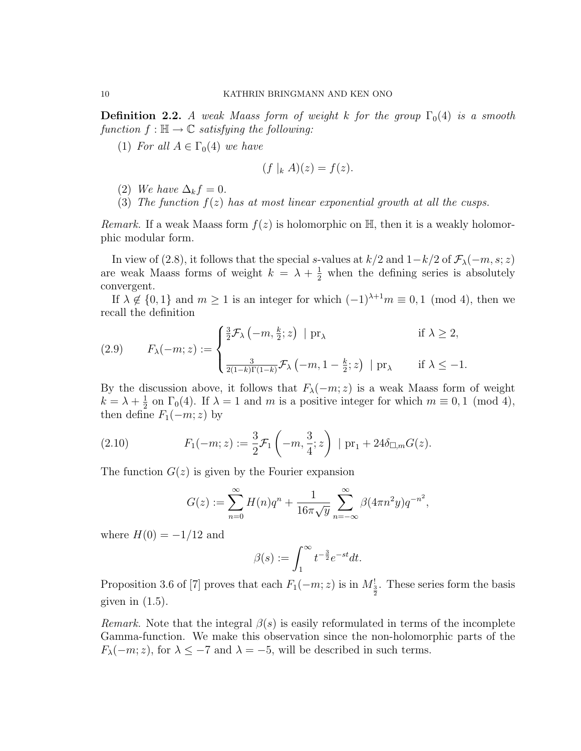**Definition 2.2.** A weak Maass form of weight k for the group  $\Gamma_0(4)$  is a smooth function  $f : \mathbb{H} \to \mathbb{C}$  satisfying the following:

(1) For all  $A \in \Gamma_0(4)$  we have

$$
(f|_k A)(z) = f(z).
$$

- (2) We have  $\Delta_k f = 0$ .
- (3) The function  $f(z)$  has at most linear exponential growth at all the cusps.

*Remark.* If a weak Maass form  $f(z)$  is holomorphic on  $\mathbb{H}$ , then it is a weakly holomorphic modular form.

In view of (2.8), it follows that the special s-values at  $k/2$  and  $1-k/2$  of  $\mathcal{F}_{\lambda}(-m, s; z)$ are weak Maass forms of weight  $k = \lambda + \frac{1}{2}$  when the defining series is absolutely convergent.

If  $\lambda \notin \{0,1\}$  and  $m \ge 1$  is an integer for which  $(-1)^{\lambda+1}m \equiv 0,1 \pmod{4}$ , then we recall the definition

(2.9) 
$$
F_{\lambda}(-m; z) := \begin{cases} \frac{3}{2} \mathcal{F}_{\lambda}(-m, \frac{k}{2}; z) | \operatorname{pr}_{\lambda} & \text{if } \lambda \geq 2, \\ \frac{3}{2(1-k)\Gamma(1-k)} \mathcal{F}_{\lambda}(-m, 1 - \frac{k}{2}; z) | \operatorname{pr}_{\lambda} & \text{if } \lambda \leq -1. \end{cases}
$$

By the discussion above, it follows that  $F_{\lambda}(-m; z)$  is a weak Maass form of weight  $k = \lambda + \frac{1}{2}$  $\frac{1}{2}$  on  $\Gamma_0(4)$ . If  $\lambda = 1$  and m is a positive integer for which  $m \equiv 0, 1 \pmod{4}$ , then define  $F_1(-m; z)$  by

(2.10) 
$$
F_1(-m; z) := \frac{3}{2} \mathcal{F}_1\left(-m, \frac{3}{4}; z\right) \mid \text{pr}_1 + 24 \delta_{\square, m} G(z).
$$

The function  $G(z)$  is given by the Fourier expansion

$$
G(z) := \sum_{n=0}^{\infty} H(n)q^{n} + \frac{1}{16\pi\sqrt{y}} \sum_{n=-\infty}^{\infty} \beta(4\pi n^{2}y)q^{-n^{2}},
$$

where  $H(0) = -1/12$  and

$$
\beta(s) := \int_1^\infty t^{-\frac{3}{2}} e^{-st} dt.
$$

Proposition 3.6 of [7] proves that each  $F_1(-m; z)$  is in  $M_{\frac{3}{2}}'$ . These series form the basis given in  $(1.5)$ .

*Remark.* Note that the integral  $\beta(s)$  is easily reformulated in terms of the incomplete Gamma-function. We make this observation since the non-holomorphic parts of the  $F_{\lambda}(-m; z)$ , for  $\lambda \leq -7$  and  $\lambda = -5$ , will be described in such terms.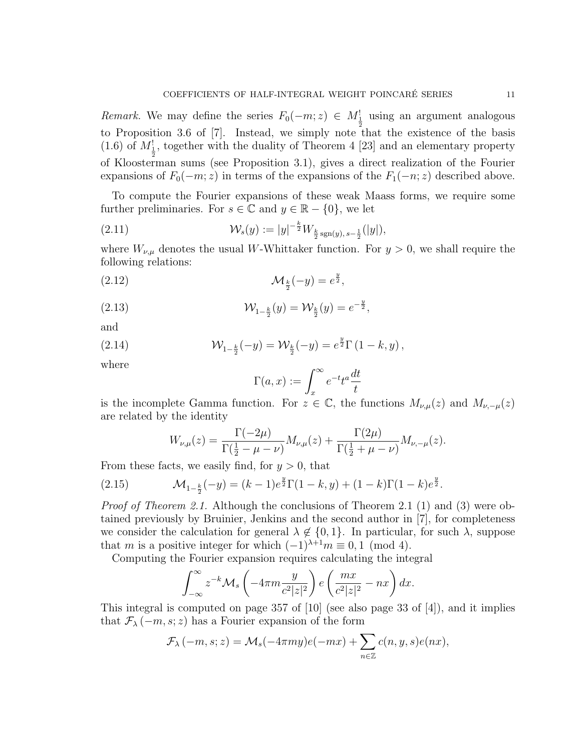Remark. We may define the series  $F_0(-m; z) \in M_{\frac{1}{2}}$  using an argument analogous to Proposition 3.6 of [7]. Instead, we simply note that the existence of the basis (1.6) of  $M_{\frac{1}{2}}$ , together with the duality of Theorem 4 [23] and an elementary property of Kloosterman sums (see Proposition 3.1), gives a direct realization of the Fourier expansions of  $F_0(-m; z)$  in terms of the expansions of the  $F_1(-n; z)$  described above.

To compute the Fourier expansions of these weak Maass forms, we require some further preliminaries. For  $s \in \mathbb{C}$  and  $y \in \mathbb{R} - \{0\}$ , we let

(2.11) 
$$
\mathcal{W}_s(y) := |y|^{-\frac{k}{2}} W_{\frac{k}{2} \operatorname{sgn}(y), s-\frac{1}{2}}(|y|),
$$

where  $W_{\nu,\mu}$  denotes the usual W-Whittaker function. For  $y > 0$ , we shall require the following relations:

$$
\mathcal{M}_{\frac{k}{2}}(-y) = e^{\frac{y}{2}},
$$

(2.13) 
$$
\mathcal{W}_{1-\frac{k}{2}}(y) = \mathcal{W}_{\frac{k}{2}}(y) = e^{-\frac{y}{2}},
$$

and

(2.14) 
$$
\mathcal{W}_{1-\frac{k}{2}}(-y) = \mathcal{W}_{\frac{k}{2}}(-y) = e^{\frac{y}{2}} \Gamma(1-k, y),
$$

where

$$
\Gamma(a, x) := \int_x^{\infty} e^{-t} t^a \frac{dt}{t}
$$

is the incomplete Gamma function. For  $z \in \mathbb{C}$ , the functions  $M_{\nu,\mu}(z)$  and  $M_{\nu,-\mu}(z)$ are related by the identity

$$
W_{\nu,\mu}(z) = \frac{\Gamma(-2\mu)}{\Gamma(\frac{1}{2} - \mu - \nu)} M_{\nu,\mu}(z) + \frac{\Gamma(2\mu)}{\Gamma(\frac{1}{2} + \mu - \nu)} M_{\nu,-\mu}(z).
$$

From these facts, we easily find, for  $y > 0$ , that

(2.15) 
$$
\mathcal{M}_{1-\frac{k}{2}}(-y) = (k-1)e^{\frac{y}{2}}\Gamma(1-k,y) + (1-k)\Gamma(1-k)e^{\frac{y}{2}}.
$$

*Proof of Theorem 2.1.* Although the conclusions of Theorem 2.1 (1) and (3) were obtained previously by Bruinier, Jenkins and the second author in [7], for completeness we consider the calculation for general  $\lambda \notin \{0,1\}$ . In particular, for such  $\lambda$ , suppose that m is a positive integer for which  $(-1)^{\lambda+1}m \equiv 0, 1 \pmod{4}$ .

Computing the Fourier expansion requires calculating the integral

$$
\int_{-\infty}^{\infty} z^{-k} \mathcal{M}_s \left( -4\pi m \frac{y}{c^2 |z|^2} \right) e \left( \frac{mx}{c^2 |z|^2} - nx \right) dx.
$$

This integral is computed on page 357 of  $[10]$  (see also page 33 of  $[4]$ ), and it implies that  $\mathcal{F}_{\lambda}(-m, s; z)$  has a Fourier expansion of the form

$$
\mathcal{F}_{\lambda}(-m, s; z) = \mathcal{M}_s(-4\pi my)e(-mx) + \sum_{n \in \mathbb{Z}} c(n, y, s)e(nx),
$$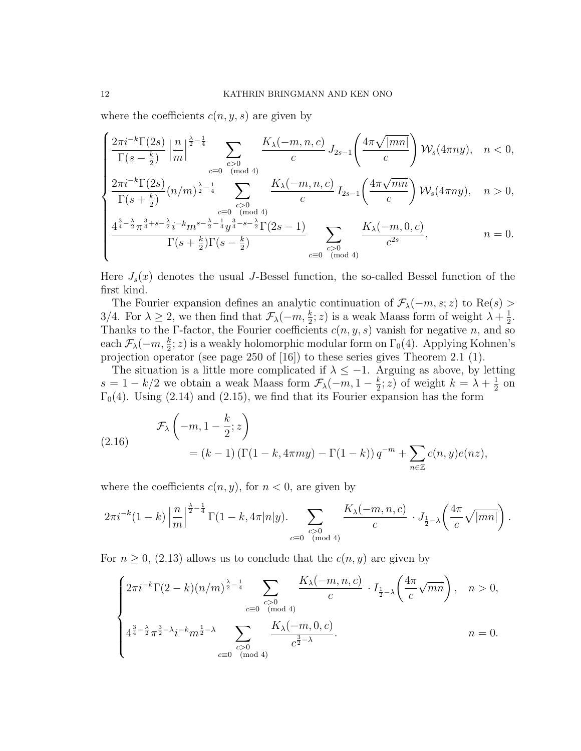where the coefficients  $c(n, y, s)$  are given by

$$
\begin{cases} \frac{2\pi i^{-k}\Gamma(2s)}{\Gamma(s-\frac{k}{2})}\left|\frac{n}{m}\right|^{\frac{\lambda}{2}-\frac{1}{4}}\sum_{\substack{c>0\\c\equiv 0\pmod{4}}} \frac{K_{\lambda}(-m,n,c)}{c}J_{2s-1}\left(\frac{4\pi\sqrt{|mn|}}{c}\right) \mathcal{W}_s(4\pi ny), & n<0,\\\frac{2\pi i^{-k}\Gamma(2s)}{\Gamma(s-\frac{k}{2})}(n/m)^{\frac{\lambda}{2}-\frac{1}{4}}\sum_{\substack{c\equiv 0\pmod{4}}} \frac{K_{\lambda}(-m,n,c)}{\Gamma(s-\frac{1}{2})}J_{2s-1}\left(\frac{4\pi\sqrt{mn}}{2}\right) \mathcal{W}_s(4\pi ny), & n>0,\end{cases}
$$

$$
\begin{cases} \frac{2\pi i^{-k}\Gamma(2s)}{\Gamma(s+\frac{k}{2})}(n/m)^{\frac{\lambda}{2}-\frac{1}{4}} & \sum_{c>0} \frac{K_{\lambda}(-m,n,c)}{c} I_{2s-1}\left(\frac{4\pi\sqrt{mn}}{c}\right) \mathcal{W}_s(4\pi ny), & n>0, \end{cases}
$$

$$
\frac{4^{\frac{3}{4}-\frac{\lambda}{2}}\pi^{\frac{3}{4}+s-\frac{\lambda}{2}}i^{-k}m^{s-\frac{\lambda}{2}-\frac{1}{4}}y^{\frac{3}{4}-s-\frac{\lambda}{2}}\Gamma(2s-1)}{\Gamma(s+\frac{k}{2})\Gamma(s-\frac{k}{2})}\sum_{\substack{c>0\\c\equiv 0\pmod{4}}} \frac{K_{\lambda}(-m,0,c)}{c^{2s}},\qquad n=0.
$$

Here  $J_s(x)$  denotes the usual J-Bessel function, the so-called Bessel function of the first kind.

The Fourier expansion defines an analytic continuation of  $\mathcal{F}_{\lambda}(-m, s; z)$  to Re $(s)$ 3/4. For  $\lambda \geq 2$ , we then find that  $\mathcal{F}_{\lambda}(-m, \frac{k}{2}; z)$  is a weak Maass form of weight  $\lambda + \frac{1}{2}$  $\frac{1}{2}$ . Thanks to the Γ-factor, the Fourier coefficients  $c(n, y, s)$  vanish for negative n, and so each  $\mathcal{F}_{\lambda}(-m,\frac{k}{2};z)$  is a weakly holomorphic modular form on  $\Gamma_0(4)$ . Applying Kohnen's projection operator (see page 250 of [16]) to these series gives Theorem 2.1 (1).

The situation is a little more complicated if  $\lambda \leq -1$ . Arguing as above, by letting  $s = 1 - k/2$  we obtain a weak Maass form  $\mathcal{F}_{\lambda}(-m, 1 - \frac{k}{2})$  $\frac{k}{2}$ ; *z*) of weight  $k = \lambda + \frac{1}{2}$  $rac{1}{2}$  on  $\Gamma_0(4)$ . Using (2.14) and (2.15), we find that its Fourier expansion has the form

(2.16) 
$$
\mathcal{F}_{\lambda}\left(-m, 1-\frac{k}{2}; z\right) = (k-1)\left(\Gamma(1-k, 4\pi my) - \Gamma(1-k)\right)q^{-m} + \sum_{n \in \mathbb{Z}} c(n, y)e(nz),
$$

where the coefficients  $c(n, y)$ , for  $n < 0$ , are given by

$$
2\pi i^{-k} (1-k) \left| \frac{n}{m} \right|^{\frac{\lambda}{2} - \frac{1}{4}} \Gamma(1-k, 4\pi |n| y). \sum_{\substack{c > 0 \\ c \equiv 0 \pmod{4}}} \frac{K_{\lambda}(-m, n, c)}{c} \cdot J_{\frac{1}{2} - \lambda} \left( \frac{4\pi}{c} \sqrt{|mn|} \right).
$$

For  $n \geq 0$ , (2.13) allows us to conclude that the  $c(n, y)$  are given by

$$
\begin{cases} 2\pi i^{-k} \Gamma(2-k) (n/m)^{\frac{\lambda}{2} - \frac{1}{4}} \sum_{\substack{c>0 \\ c \equiv 0 \pmod{4}}} \frac{K_{\lambda}(-m, n, c)}{c} \cdot I_{\frac{1}{2} - \lambda} \left( \frac{4\pi}{c} \sqrt{mn} \right), & n > 0, \\ 4^{\frac{3}{4} - \frac{\lambda}{2}} \pi^{\frac{3}{2} - \lambda} i^{-k} m^{\frac{1}{2} - \lambda} \sum_{\substack{c>0 \\ c \equiv 0 \pmod{4}}} \frac{K_{\lambda}(-m, 0, c)}{c^{\frac{3}{2} - \lambda}}. & n = 0. \end{cases}
$$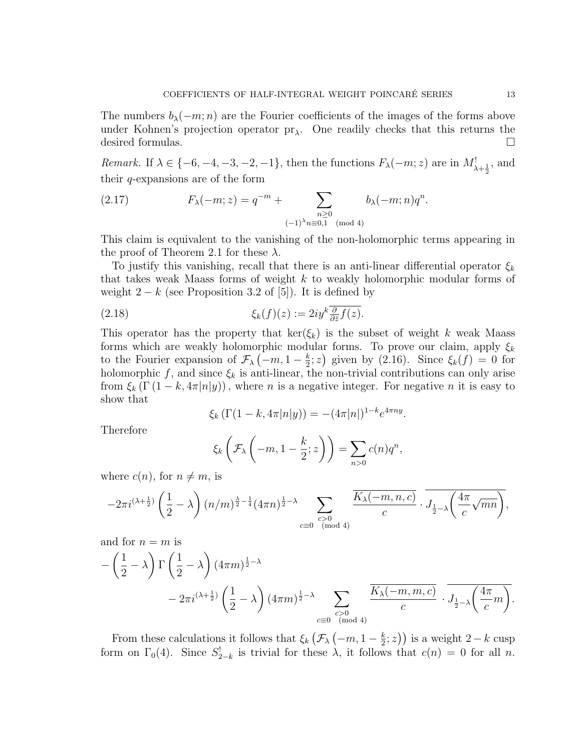The numbers  $b_{\lambda}(-m; n)$  are the Fourier coefficients of the images of the forms above under Kohnen's projection operator  $pr_{\lambda}$ . One readily checks that this returns the desired formulas.

Remark. If  $\lambda \in \{-6, -4, -3, -2, -1\}$ , then the functions  $F_{\lambda}(-m; z)$  are in  $M^!_{\lambda + \frac{1}{2}}$ , and their  $q$ -expansions are of the form

(2.17) 
$$
F_{\lambda}(-m; z) = q^{-m} + \sum_{\substack{n \geq 0 \\ (-1)^{\lambda}n \equiv 0,1 \pmod{4}}} b_{\lambda}(-m; n) q^{n}.
$$

This claim is equivalent to the vanishing of the non-holomorphic terms appearing in the proof of Theorem 2.1 for these  $\lambda$ .

To justify this vanishing, recall that there is an anti-linear differential operator  $\xi_k$ that takes weak Maass forms of weight k to weakly holomorphic modular forms of weight  $2 - k$  (see Proposition 3.2 of [5]). It is defined by

(2.18) 
$$
\xi_k(f)(z) := 2iy^k \frac{\partial}{\partial \bar{z}} f(z).
$$

This operator has the property that  $\ker(\xi_k)$  is the subset of weight k weak Maass forms which are weakly holomorphic modular forms. To prove our claim, apply  $\xi_k$ to the Fourier expansion of  $\mathcal{F}_{\lambda}(-m, 1-\frac{k}{2})$  $\frac{k}{2}$ ; z) given by (2.16). Since  $\xi_k(f) = 0$  for holomorphic f, and since  $\xi_k$  is anti-linear, the non-trivial contributions can only arise from  $\xi_k(\Gamma(1-k, 4\pi|n|y))$ , where *n* is a negative integer. For negative *n* it is easy to show that

$$
\xi_k \left( \Gamma(1 - k, 4\pi |n|y) \right) = -(4\pi |n|)^{1-k} e^{4\pi ny}.
$$

Therefore

$$
\xi_k\left(\mathcal{F}_\lambda\left(-m, 1-\frac{k}{2}; z\right)\right) = \sum_{n>0} c(n)q^n,
$$

where  $c(n)$ , for  $n \neq m$ , is

$$
-2\pi i^{(\lambda+\frac{1}{2})}\left(\frac{1}{2}-\lambda\right)(n/m)^{\frac{\lambda}{2}-\frac{1}{4}}(4\pi n)^{\frac{1}{2}-\lambda}\sum_{\substack{c>0\\c\equiv 0\pmod{4}}} \frac{\overline{K_{\lambda}(-m,n,c)}}{c}\cdot \overline{J_{\frac{1}{2}-\lambda}\left(\frac{4\pi}{c}\sqrt{mn}\right)},
$$

and for  $n = m$  is

$$
-\left(\frac{1}{2}-\lambda\right)\Gamma\left(\frac{1}{2}-\lambda\right)(4\pi m)^{\frac{1}{2}-\lambda}
$$
  

$$
-2\pi i^{(\lambda+\frac{1}{2})}\left(\frac{1}{2}-\lambda\right)(4\pi m)^{\frac{1}{2}-\lambda}\sum_{\substack{c>0\\c\equiv 0\pmod{4}}} \frac{\overline{K_{\lambda}(-m,m,c)}}{c} \cdot \overline{J_{\frac{1}{2}-\lambda}\left(\frac{4\pi}{c}m\right)}.
$$

From these calculations it follows that  $\xi_k$   $\left(\mathcal{F}_{\lambda}\left(-m,1-\frac{k}{2}\right)\right)$  $(\frac{k}{2}; z)$ ) is a weight 2 – k cusp form on  $\Gamma_0(4)$ . Since  $S_{2-k}^!$  is trivial for these  $\lambda$ , it follows that  $c(n) = 0$  for all n.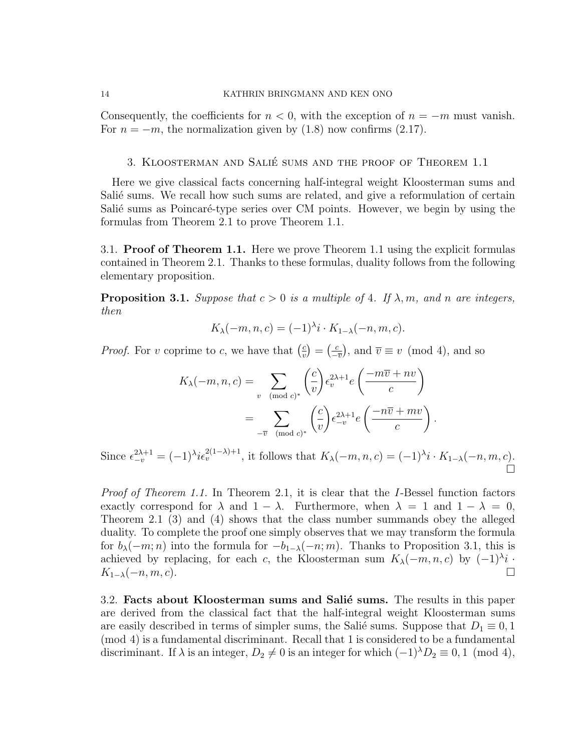#### 14 KATHRIN BRINGMANN AND KEN ONO

Consequently, the coefficients for  $n < 0$ , with the exception of  $n = -m$  must vanish. For  $n = -m$ , the normalization given by (1.8) now confirms (2.17).

## 3. Kloosterman and Salie sums and the proof of Theorem 1.1 ´

Here we give classical facts concerning half-integral weight Kloosterman sums and Salié sums. We recall how such sums are related, and give a reformulation of certain Salié sums as Poincaré-type series over CM points. However, we begin by using the formulas from Theorem 2.1 to prove Theorem 1.1.

3.1. Proof of Theorem 1.1. Here we prove Theorem 1.1 using the explicit formulas contained in Theorem 2.1. Thanks to these formulas, duality follows from the following elementary proposition.

**Proposition 3.1.** Suppose that  $c > 0$  is a multiple of 4. If  $\lambda$ , m, and n are integers, then

$$
K_{\lambda}(-m, n, c) = (-1)^{\lambda} i \cdot K_{1-\lambda}(-n, m, c).
$$

*Proof.* For v coprime to c, we have that  $\left(\frac{c}{n}\right)$  $\left(\frac{c}{v}\right) = \left(\frac{c}{v}\right)$  $\frac{c}{-\overline{v}}$ , and  $\overline{v} \equiv v \pmod{4}$ , and so

$$
K_{\lambda}(-m, n, c) = \sum_{v \pmod{c}} \left(\frac{c}{v}\right) \epsilon_v^{2\lambda + 1} e\left(\frac{-m\overline{v} + nv}{c}\right)
$$
  
= 
$$
\sum_{-\overline{v} \pmod{c}} \left(\frac{c}{v}\right) \epsilon_{-v}^{2\lambda + 1} e\left(\frac{-n\overline{v} + mv}{c}\right).
$$

Since  $\epsilon_{-v}^{2\lambda+1} = (-1)^{\lambda} i \epsilon_v^{2(1-\lambda)+1}$ , it follows that  $K_{\lambda}(-m, n, c) = (-1)^{\lambda} i \cdot K_{1-\lambda}(-n, m, c)$ . П

Proof of Theorem 1.1. In Theorem 2.1, it is clear that the I-Bessel function factors exactly correspond for  $\lambda$  and  $1 - \lambda$ . Furthermore, when  $\lambda = 1$  and  $1 - \lambda = 0$ , Theorem 2.1 (3) and (4) shows that the class number summands obey the alleged duality. To complete the proof one simply observes that we may transform the formula for  $b_{\lambda}(-m; n)$  into the formula for  $-b_{1-\lambda}(-n; m)$ . Thanks to Proposition 3.1, this is achieved by replacing, for each c, the Kloosterman sum  $K_{\lambda}(-m, n, c)$  by  $(-1)^{\lambda}i$ .  $K_{1-\lambda}(-n, m, c).$ 

3.2. Facts about Kloosterman sums and Salié sums. The results in this paper are derived from the classical fact that the half-integral weight Kloosterman sums are easily described in terms of simpler sums, the Salié sums. Suppose that  $D_1 \equiv 0, 1$ (mod 4) is a fundamental discriminant. Recall that 1 is considered to be a fundamental discriminant. If  $\lambda$  is an integer,  $D_2 \neq 0$  is an integer for which  $(-1)^{\lambda}D_2 \equiv 0, 1 \pmod{4}$ ,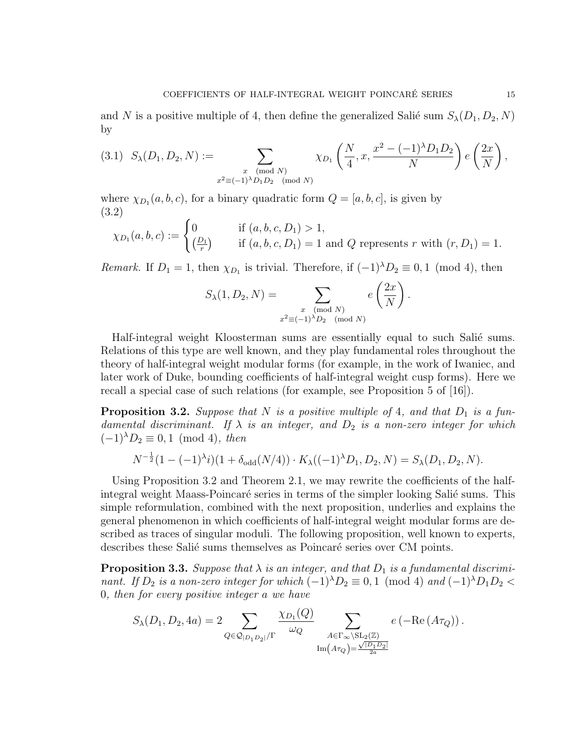and N is a positive multiple of 4, then define the generalized Salié sum  $S_{\lambda}(D_1, D_2, N)$ by

$$
(3.1) \ S_{\lambda}(D_1, D_2, N) := \sum_{\substack{x \pmod{N} \\ x^2 \equiv (-1)^{\lambda} D_1 D_2 \pmod{N}}} \chi_{D_1}\left(\frac{N}{4}, x, \frac{x^2 - (-1)^{\lambda} D_1 D_2}{N}\right) e\left(\frac{2x}{N}\right),
$$

where  $\chi_{D_1}(a, b, c)$ , for a binary quadratic form  $Q = [a, b, c]$ , is given by (3.2)

$$
\chi_{D_1}(a,b,c) := \begin{cases} 0 & \text{if } (a,b,c,D_1) > 1, \\ \left(\frac{D_1}{r}\right) & \text{if } (a,b,c,D_1) = 1 \text{ and } Q \text{ represents } r \text{ with } (r,D_1) = 1. \end{cases}
$$

Remark. If  $D_1 = 1$ , then  $\chi_{D_1}$  is trivial. Therefore, if  $(-1)^{\lambda}D_2 \equiv 0, 1 \pmod{4}$ , then

$$
S_{\lambda}(1, D_2, N) = \sum_{\substack{x \pmod{N} \\ x^2 \equiv (-1)^{\lambda}D_2 \pmod{N}}} e\left(\frac{2x}{N}\right).
$$

Half-integral weight Kloosterman sums are essentially equal to such Salié sums. Relations of this type are well known, and they play fundamental roles throughout the theory of half-integral weight modular forms (for example, in the work of Iwaniec, and later work of Duke, bounding coefficients of half-integral weight cusp forms). Here we recall a special case of such relations (for example, see Proposition 5 of [16]).

**Proposition 3.2.** Suppose that N is a positive multiple of 4, and that  $D_1$  is a fundamental discriminant. If  $\lambda$  is an integer, and  $D_2$  is a non-zero integer for which  $(-1)^{\lambda}D_2 \equiv 0, 1 \pmod{4}$ , then

$$
N^{-\frac{1}{2}}(1 - (-1)^{\lambda}i)(1 + \delta_{odd}(N/4)) \cdot K_{\lambda}((-1)^{\lambda}D_1, D_2, N) = S_{\lambda}(D_1, D_2, N).
$$

Using Proposition 3.2 and Theorem 2.1, we may rewrite the coefficients of the halfintegral weight Maass-Poincaré series in terms of the simpler looking Salié sums. This simple reformulation, combined with the next proposition, underlies and explains the general phenomenon in which coefficients of half-integral weight modular forms are described as traces of singular moduli. The following proposition, well known to experts, describes these Salié sums themselves as Poincaré series over CM points.

**Proposition 3.3.** Suppose that  $\lambda$  is an integer, and that  $D_1$  is a fundamental discriminant. If  $D_2$  is a non-zero integer for which  $(-1)^{\lambda}D_2 \equiv 0,1 \pmod{4}$  and  $(-1)^{\lambda}D_1D_2 <$ 0, then for every positive integer a we have

$$
S_{\lambda}(D_1, D_2, 4a) = 2 \sum_{Q \in \mathcal{Q}_{|D_1D_2|}/\Gamma} \frac{\chi_{D_1}(Q)}{\omega_Q} \sum_{\substack{A \in \Gamma_{\infty} \setminus SL_2(\mathbb{Z}) \\ \text{Im}(A\tau_Q) = \frac{\sqrt{|D_1D_2|}}{2a}}} e\left(-\text{Re}(A\tau_Q)\right).
$$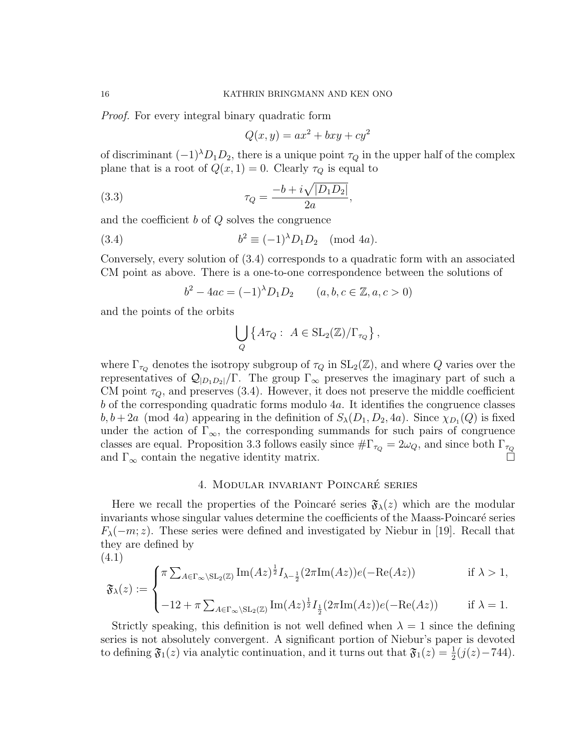Proof. For every integral binary quadratic form

$$
Q(x, y) = ax^2 + bxy + cy^2
$$

of discriminant  $(-1)^{\lambda}D_1D_2$ , there is a unique point  $\tau_Q$  in the upper half of the complex plane that is a root of  $Q(x, 1) = 0$ . Clearly  $\tau_Q$  is equal to

(3.3) 
$$
\tau_Q = \frac{-b + i\sqrt{|D_1 D_2|}}{2a},
$$

and the coefficient b of Q solves the congruence

(3.4) 
$$
b^2 \equiv (-1)^{\lambda} D_1 D_2 \pmod{4a}.
$$

Conversely, every solution of (3.4) corresponds to a quadratic form with an associated CM point as above. There is a one-to-one correspondence between the solutions of

$$
b^2 - 4ac = (-1)^{\lambda} D_1 D_2 \qquad (a, b, c \in \mathbb{Z}, a, c > 0)
$$

and the points of the orbits

$$
\bigcup_{Q} \left\{ A \tau_Q : A \in SL_2(\mathbb{Z})/\Gamma_{\tau_Q} \right\},\,
$$

where  $\Gamma_{\tau_Q}$  denotes the isotropy subgroup of  $\tau_Q$  in  $SL_2(\mathbb{Z})$ , and where Q varies over the representatives of  $\mathcal{Q}_{|D_1D_2|}/\Gamma$ . The group  $\Gamma_{\infty}$  preserves the imaginary part of such a CM point  $\tau_Q$ , and preserves (3.4). However, it does not preserve the middle coefficient  $b$  of the corresponding quadratic forms modulo  $4a$ . It identifies the congruence classes  $b, b+2a \pmod{4a}$  appearing in the definition of  $S_{\lambda}(D_1, D_2, 4a)$ . Since  $\chi_{D_1}(Q)$  is fixed under the action of  $\Gamma_{\infty}$ , the corresponding summands for such pairs of congruence classes are equal. Proposition 3.3 follows easily since  $\#\Gamma_{\tau_Q} = 2\omega_Q$ , and since both  $\Gamma_{\tau_Q}$ and  $\Gamma_{\infty}$  contain the negative identity matrix.  $\Box$ 

## 4. MODULAR INVARIANT POINCARÉ SERIES

Here we recall the properties of the Poincaré series  $\mathfrak{F}_{\lambda}(z)$  which are the modular invariants whose singular values determine the coefficients of the Maass-Poincaré series  $F_{\lambda}(-m; z)$ . These series were defined and investigated by Niebur in [19]. Recall that they are defined by

(4.1)  
\n
$$
\mathfrak{F}_{\lambda}(z) := \begin{cases}\n\pi \sum_{A \in \Gamma_{\infty} \backslash \mathrm{SL}_2(\mathbb{Z})} \mathrm{Im}(Az)^{\frac{1}{2}} I_{\lambda - \frac{1}{2}}(2\pi \mathrm{Im}(Az)) e(-\mathrm{Re}(Az)) & \text{if } \lambda > 1, \\
-12 + \pi \sum_{A \in \Gamma_{\infty} \backslash \mathrm{SL}_2(\mathbb{Z})} \mathrm{Im}(Az)^{\frac{1}{2}} I_{\frac{1}{2}}(2\pi \mathrm{Im}(Az)) e(-\mathrm{Re}(Az)) & \text{if } \lambda = 1.\n\end{cases}
$$

Strictly speaking, this definition is not well defined when  $\lambda = 1$  since the defining series is not absolutely convergent. A significant portion of Niebur's paper is devoted to defining  $\mathfrak{F}_1(z)$  via analytic continuation, and it turns out that  $\mathfrak{F}_1(z) = \frac{1}{2}(j(z) - 744)$ .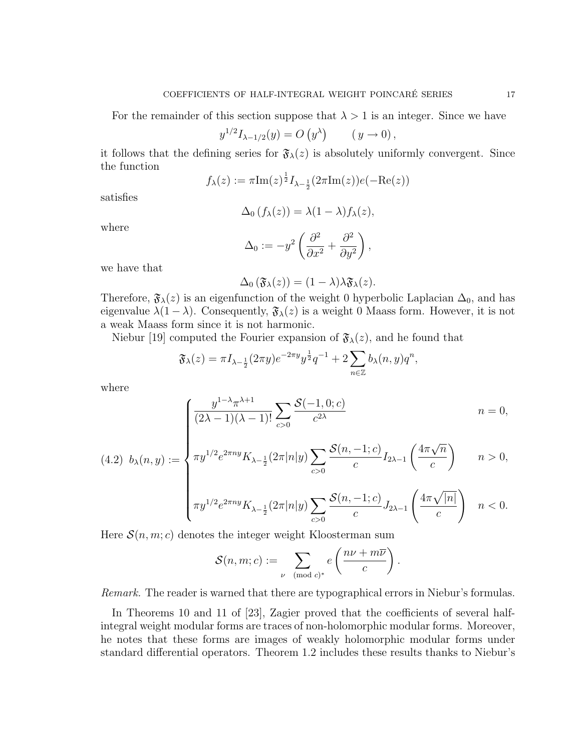For the remainder of this section suppose that  $\lambda > 1$  is an integer. Since we have

$$
y^{1/2} I_{\lambda - 1/2}(y) = O(y^{\lambda}) \qquad (y \to 0),
$$

it follows that the defining series for  $\mathfrak{F}_{\lambda}(z)$  is absolutely uniformly convergent. Since the function

$$
f_{\lambda}(z) := \pi \text{Im}(z)^{\frac{1}{2}} I_{\lambda - \frac{1}{2}}(2\pi \text{Im}(z)) e(-\text{Re}(z))
$$

satisfies

$$
\Delta_0(f_\lambda(z)) = \lambda(1-\lambda)f_\lambda(z),
$$

where

$$
\Delta_0 := -y^2 \left( \frac{\partial^2}{\partial x^2} + \frac{\partial^2}{\partial y^2} \right),
$$

we have that

$$
\Delta_0(\mathfrak{F}_\lambda(z))=(1-\lambda)\lambda\mathfrak{F}_\lambda(z).
$$

Therefore,  $\mathfrak{F}_{\lambda}(z)$  is an eigenfunction of the weight 0 hyperbolic Laplacian  $\Delta_0$ , and has eigenvalue  $\lambda(1-\lambda)$ . Consequently,  $\mathfrak{F}_{\lambda}(z)$  is a weight 0 Maass form. However, it is not a weak Maass form since it is not harmonic.

Niebur [19] computed the Fourier expansion of  $\mathfrak{F}_{\lambda}(z)$ , and he found that

$$
\mathfrak{F}_{\lambda}(z) = \pi I_{\lambda - \frac{1}{2}}(2\pi y)e^{-2\pi y}y^{\frac{1}{2}}q^{-1} + 2\sum_{n \in \mathbb{Z}} b_{\lambda}(n, y)q^{n},
$$

where

$$
\int \frac{y^{1-\lambda}\pi^{\lambda+1}}{(2\lambda-1)(\lambda-1)!} \sum_{c>0} \frac{\mathcal{S}(-1,0;c)}{c^{2\lambda}} \qquad n=0,
$$

$$
(4.2) \ b_{\lambda}(n,y) := \begin{cases} \overline{(2\lambda - 1)(\lambda - 1)!} \sum_{c > 0} \overline{c^{2\lambda}} & n = 0, \\ \pi y^{1/2} e^{2\pi ny} K_{\lambda - \frac{1}{2}} (2\pi |n|y) \sum_{c > 0} \frac{\mathcal{S}(n, -1; c)}{c} I_{2\lambda - 1} \left( \frac{4\pi \sqrt{n}}{c} \right) & n > 0, \end{cases}
$$

$$
\begin{cases}\n c>0 & \text{if } \\ \pi y^{1/2} e^{2\pi ny} K_{\lambda - \frac{1}{2}}(2\pi |n|y) \sum_{c>0} \frac{\mathcal{S}(n, -1; c)}{c} J_{2\lambda - 1} \left( \frac{4\pi \sqrt{|n|}}{c} \right) & n < 0.\n\end{cases}
$$

Here  $S(n, m; c)$  denotes the integer weight Kloosterman sum

$$
\mathcal{S}(n,m;c) := \sum_{\nu \pmod{c}^*} e\left(\frac{n\nu + m\overline{\nu}}{c}\right).
$$

Remark. The reader is warned that there are typographical errors in Niebur's formulas.

In Theorems 10 and 11 of [23], Zagier proved that the coefficients of several halfintegral weight modular forms are traces of non-holomorphic modular forms. Moreover, he notes that these forms are images of weakly holomorphic modular forms under standard differential operators. Theorem 1.2 includes these results thanks to Niebur's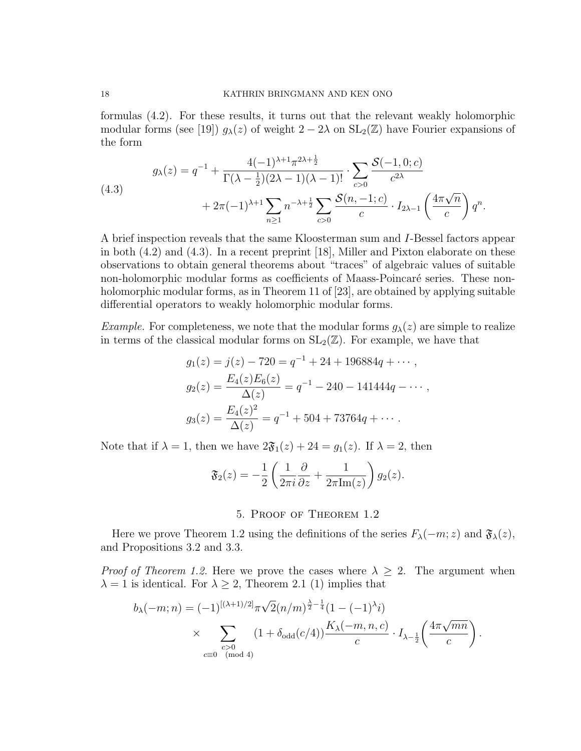formulas (4.2). For these results, it turns out that the relevant weakly holomorphic modular forms (see [19])  $g_{\lambda}(z)$  of weight  $2-2\lambda$  on  $SL_2(\mathbb{Z})$  have Fourier expansions of the form

$$
g_{\lambda}(z) = q^{-1} + \frac{4(-1)^{\lambda+1}\pi^{2\lambda+\frac{1}{2}}}{\Gamma(\lambda-\frac{1}{2})(2\lambda-1)(\lambda-1)!} \cdot \sum_{c>0} \frac{\mathcal{S}(-1,0;c)}{c^{2\lambda}} + 2\pi(-1)^{\lambda+1} \sum_{n\geq 1} n^{-\lambda+\frac{1}{2}} \sum_{c>0} \frac{\mathcal{S}(n,-1;c)}{c} \cdot I_{2\lambda-1} \left(\frac{4\pi\sqrt{n}}{c}\right) q^n.
$$

A brief inspection reveals that the same Kloosterman sum and I-Bessel factors appear in both (4.2) and (4.3). In a recent preprint [18], Miller and Pixton elaborate on these observations to obtain general theorems about "traces" of algebraic values of suitable non-holomorphic modular forms as coefficients of Maass-Poincaré series. These nonholomorphic modular forms, as in Theorem 11 of [23], are obtained by applying suitable differential operators to weakly holomorphic modular forms.

*Example.* For completeness, we note that the modular forms  $g_{\lambda}(z)$  are simple to realize in terms of the classical modular forms on  $SL_2(\mathbb{Z})$ . For example, we have that

$$
g_1(z) = j(z) - 720 = q^{-1} + 24 + 196884q + \cdots,
$$
  
\n
$$
g_2(z) = \frac{E_4(z)E_6(z)}{\Delta(z)} = q^{-1} - 240 - 141444q - \cdots,
$$
  
\n
$$
g_3(z) = \frac{E_4(z)^2}{\Delta(z)} = q^{-1} + 504 + 73764q + \cdots.
$$

Note that if  $\lambda = 1$ , then we have  $2\mathfrak{F}_1(z) + 24 = g_1(z)$ . If  $\lambda = 2$ , then

$$
\mathfrak{F}_2(z) = -\frac{1}{2} \left( \frac{1}{2\pi i} \frac{\partial}{\partial z} + \frac{1}{2\pi \text{Im}(z)} \right) g_2(z).
$$

## 5. Proof of Theorem 1.2

Here we prove Theorem 1.2 using the definitions of the series  $F_{\lambda}(-m; z)$  and  $\mathfrak{F}_{\lambda}(z)$ , and Propositions 3.2 and 3.3.

*Proof of Theorem 1.2.* Here we prove the cases where  $\lambda \geq 2$ . The argument when  $\lambda = 1$  is identical. For  $\lambda \geq 2$ , Theorem 2.1 (1) implies that

$$
b_{\lambda}(-m;n) = (-1)^{[(\lambda+1)/2]} \pi \sqrt{2} (n/m)^{\frac{\lambda}{2} - \frac{1}{4}} (1 - (-1)^{\lambda} i)
$$
  
 
$$
\times \sum_{\substack{c>0 \\ c \equiv 0 \pmod{4}}} (1 + \delta_{\text{odd}}(c/4)) \frac{K_{\lambda}(-m,n,c)}{c} \cdot I_{\lambda - \frac{1}{2}} \left( \frac{4\pi \sqrt{mn}}{c} \right).
$$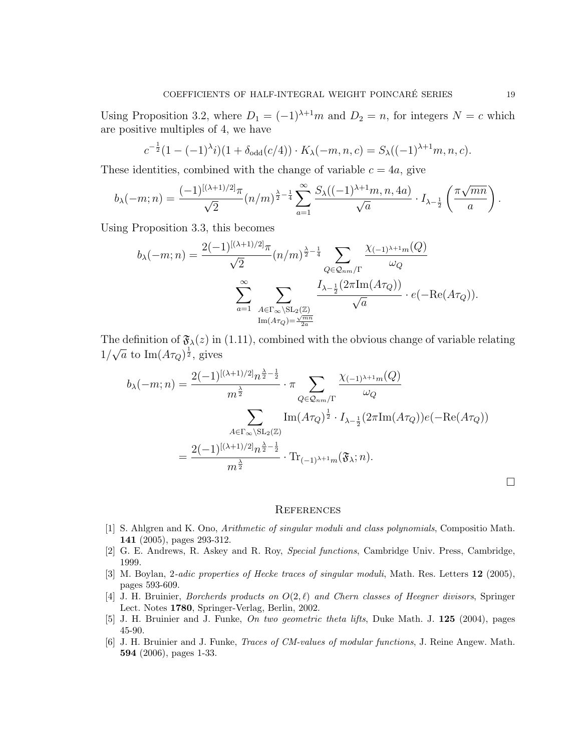Using Proposition 3.2, where  $D_1 = (-1)^{\lambda+1}m$  and  $D_2 = n$ , for integers  $N = c$  which are positive multiples of 4, we have

$$
c^{-\frac{1}{2}}(1-(-1)^{\lambda}i)(1+\delta_{odd}(c/4)) \cdot K_{\lambda}(-m,n,c) = S_{\lambda}((-1)^{\lambda+1}m,n,c).
$$

These identities, combined with the change of variable  $c = 4a$ , give

$$
b_{\lambda}(-m;n) = \frac{(-1)^{[(\lambda+1)/2]} \pi}{\sqrt{2}} (n/m)^{\frac{\lambda}{2}-\frac{1}{4}} \sum_{a=1}^{\infty} \frac{S_{\lambda}((-1)^{\lambda+1}m, n, 4a)}{\sqrt{a}} \cdot I_{\lambda-\frac{1}{2}}\left(\frac{\pi \sqrt{mn}}{a}\right).
$$

Using Proposition 3.3, this becomes

$$
b_{\lambda}(-m;n) = \frac{2(-1)^{[(\lambda+1)/2]}\pi}{\sqrt{2}} (n/m)^{\frac{\lambda}{2}-\frac{1}{4}} \sum_{Q \in \mathcal{Q}_{nm}/\Gamma} \frac{\chi_{(-1)^{\lambda+1}m}(Q)}{\omega_Q}
$$

$$
\sum_{a=1}^{\infty} \sum_{\substack{A \in \Gamma_{\infty} \backslash \mathrm{SL}_2(\mathbb{Z}) \\ \text{Im}(A\tau_Q) = \frac{\sqrt{mn}}{2a}}} \frac{I_{\lambda-\frac{1}{2}}(2\pi \text{Im}(A\tau_Q))}{\sqrt{a}} \cdot e(-\text{Re}(A\tau_Q)).
$$

The definition of  $\mathfrak{F}_{\lambda}(z)$  in (1.11), combined with the obvious change of variable relating 1/ √  $\bar{a}$  to  $\text{Im}(A\tau_Q)^{\frac{1}{2}}$ , gives

$$
b_{\lambda}(-m;n) = \frac{2(-1)^{[(\lambda+1)/2]}n^{\frac{\lambda}{2}-\frac{1}{2}}}{m^{\frac{\lambda}{2}}} \cdot \pi \sum_{Q \in \mathcal{Q}_{nm}/\Gamma} \frac{\chi_{(-1)^{\lambda+1}m}(Q)}{\omega_Q}
$$

$$
= \frac{\sum_{A \in \Gamma_{\infty} \backslash \mathrm{SL}_2(\mathbb{Z})} \mathrm{Im}(A\tau_Q)^{\frac{1}{2}} \cdot I_{\lambda-\frac{1}{2}}(2\pi \mathrm{Im}(A\tau_Q))e(-\mathrm{Re}(A\tau_Q))}{m^{\frac{\lambda}{2}}}.
$$

$$
= \frac{2(-1)^{[(\lambda+1)/2]}n^{\frac{\lambda}{2}-\frac{1}{2}}}{m^{\frac{\lambda}{2}}} \cdot \mathrm{Tr}_{(-1)^{\lambda+1}m}(\mathfrak{F}_{\lambda};n).
$$

#### **REFERENCES**

- [1] S. Ahlgren and K. Ono, Arithmetic of singular moduli and class polynomials, Compositio Math. 141 (2005), pages 293-312.
- [2] G. E. Andrews, R. Askey and R. Roy, Special functions, Cambridge Univ. Press, Cambridge, 1999.
- [3] M. Boylan, 2-adic properties of Hecke traces of singular moduli, Math. Res. Letters 12 (2005), pages 593-609.
- [4] J. H. Bruinier, *Borcherds products on*  $O(2,\ell)$  and Chern classes of Heegner divisors, Springer Lect. Notes 1780, Springer-Verlag, Berlin, 2002.
- [5] J. H. Bruinier and J. Funke, On two geometric theta lifts, Duke Math. J. 125 (2004), pages 45-90.
- [6] J. H. Bruinier and J. Funke, Traces of CM-values of modular functions, J. Reine Angew. Math. 594 (2006), pages 1-33.

 $\Box$